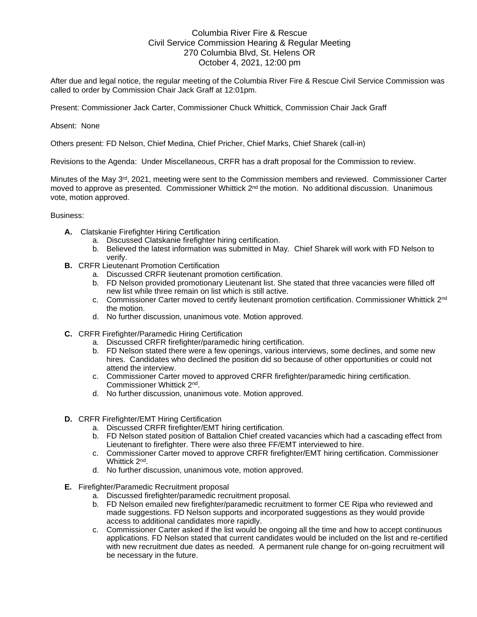## Columbia River Fire & Rescue Civil Service Commission Hearing & Regular Meeting 270 Columbia Blvd, St. Helens OR October 4, 2021, 12:00 pm

After due and legal notice, the regular meeting of the Columbia River Fire & Rescue Civil Service Commission was called to order by Commission Chair Jack Graff at 12:01pm.

Present: Commissioner Jack Carter, Commissioner Chuck Whittick, Commission Chair Jack Graff

## Absent: None

Others present: FD Nelson, Chief Medina, Chief Pricher, Chief Marks, Chief Sharek (call-in)

Revisions to the Agenda: Under Miscellaneous, CRFR has a draft proposal for the Commission to review.

Minutes of the May 3<sup>rd</sup>, 2021, meeting were sent to the Commission members and reviewed. Commissioner Carter moved to approve as presented. Commissioner Whittick  $2<sup>nd</sup>$  the motion. No additional discussion. Unanimous vote, motion approved.

## Business:

- **A.** Clatskanie Firefighter Hiring Certification
	- a. Discussed Clatskanie firefighter hiring certification.
	- b. Believed the latest information was submitted in May. Chief Sharek will work with FD Nelson to verify.
- **B.** CRFR Lieutenant Promotion Certification
	- a. Discussed CRFR lieutenant promotion certification.
	- b. FD Nelson provided promotionary Lieutenant list. She stated that three vacancies were filled off new list while three remain on list which is still active.
	- c. Commissioner Carter moved to certify lieutenant promotion certification. Commissioner Whittick 2nd the motion.
	- d. No further discussion, unanimous vote. Motion approved.
- **C.** CRFR Firefighter/Paramedic Hiring Certification
	- a. Discussed CRFR firefighter/paramedic hiring certification.
	- b. FD Nelson stated there were a few openings, various interviews, some declines, and some new hires. Candidates who declined the position did so because of other opportunities or could not attend the interview.
	- c. Commissioner Carter moved to approved CRFR firefighter/paramedic hiring certification. Commissioner Whittick 2nd .
	- d. No further discussion, unanimous vote. Motion approved.
- **D.** CRFR Firefighter/EMT Hiring Certification
	- a. Discussed CRFR firefighter/EMT hiring certification.
	- b. FD Nelson stated position of Battalion Chief created vacancies which had a cascading effect from Lieutenant to firefighter. There were also three FF/EMT interviewed to hire.
	- c. Commissioner Carter moved to approve CRFR firefighter/EMT hiring certification. Commissioner Whittick 2<sup>nd</sup>.
	- d. No further discussion, unanimous vote, motion approved.
- **E.** Firefighter/Paramedic Recruitment proposal
	- a. Discussed firefighter/paramedic recruitment proposal.
	- b. FD Nelson emailed new firefighter/paramedic recruitment to former CE Ripa who reviewed and made suggestions. FD Nelson supports and incorporated suggestions as they would provide access to additional candidates more rapidly.
	- c. Commissioner Carter asked if the list would be ongoing all the time and how to accept continuous applications. FD Nelson stated that current candidates would be included on the list and re-certified with new recruitment due dates as needed. A permanent rule change for on-going recruitment will be necessary in the future.